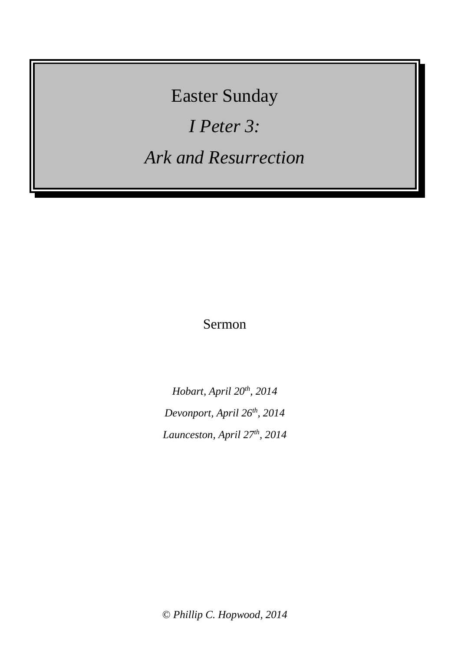Easter Sunday *I Peter 3: Ark and Resurrection*

# Sermon

*Hobart, April 20 th , 2014 Devonport, April 26 th , 2014 Launceston, April 27th , 2014*

© *Phillip C. Hopwood, 2014*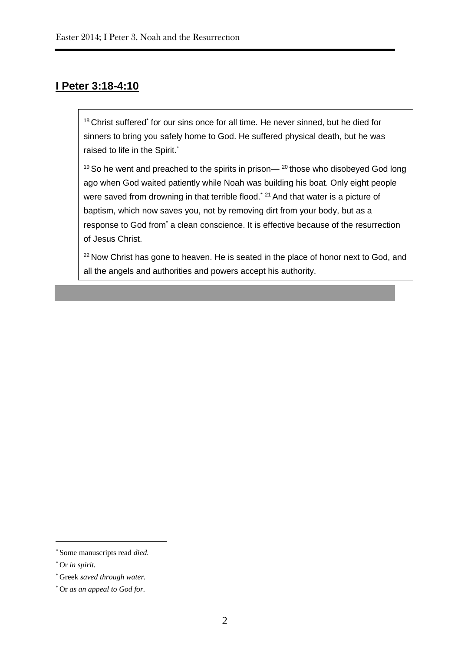#### **I Peter 3:18-4:10**

<sup>18</sup> Christ suffered<sup>\*</sup> for our sins once for all time. He never sinned, but he died for sinners to bring you safely home to God. He suffered physical death, but he was raised to life in the Spirit.<sup>\*</sup>

<sup>19</sup> So he went and preached to the spirits in prison—  $20$  those who disobeyed God long ago when God waited patiently while Noah was building his boat. Only eight people were saved from drowning in that terrible flood.<sup>\*</sup> <sup>21</sup> And that water is a picture of baptism, which now saves you, not by removing dirt from your body, but as a response to God from\* a clean conscience. It is effective because of the resurrection of Jesus Christ.

<sup>22</sup> Now Christ has gone to heaven. He is seated in the place of honor next to God, and all the angels and authorities and powers accept his authority.

1

<sup>\*</sup> Some manuscripts read *died.*

<sup>\*</sup> Or *in spirit.*

<sup>\*</sup> Greek *saved through water.*

<sup>\*</sup> Or *as an appeal to God for.*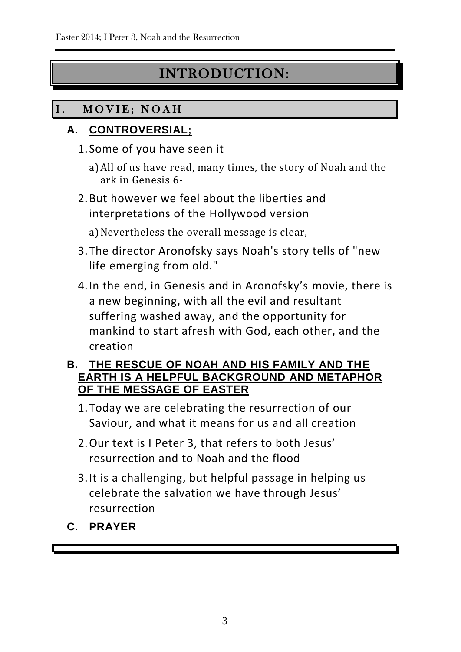# INTRODUCTION:

## I. MOVIE; NOAH

## **A. CONTROVERSIAL;**

- 1. Some of you have seen it
	- a)All of us have read, many times, the story of Noah and the ark in Genesis 6-
- 2.But however we feel about the liberties and interpretations of the Hollywood version
	- a)Nevertheless the overall message is clear,
- 3.The director Aronofsky says Noah's story tells of "new life emerging from old."
- 4.In the end, in Genesis and in Aronofsky's movie, there is a new beginning, with all the evil and resultant suffering washed away, and the opportunity for mankind to start afresh with God, each other, and the creation

#### **B. THE RESCUE OF NOAH AND HIS FAMILY AND THE EARTH IS A HELPFUL BACKGROUND AND METAPHOR OF THE MESSAGE OF EASTER**

- 1.Today we are celebrating the resurrection of our Saviour, and what it means for us and all creation
- 2.Our text is I Peter 3, that refers to both Jesus' resurrection and to Noah and the flood
- 3.It is a challenging, but helpful passage in helping us celebrate the salvation we have through Jesus' resurrection
- **C. PRAYER**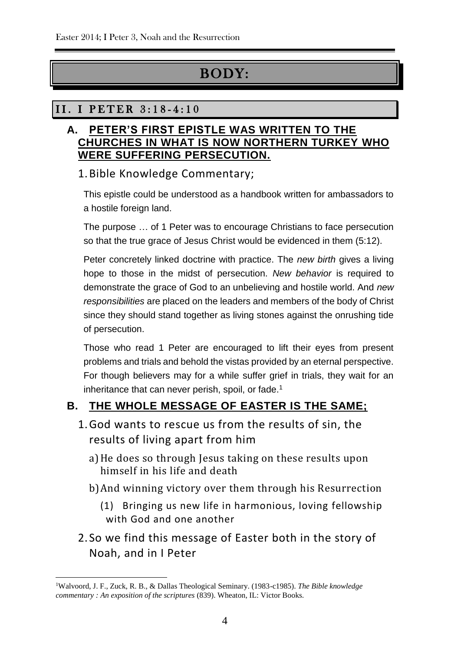# BODY:

#### II. I PETER 3:18-4:10

#### **A. PETER'S FIRST EPISTLE WAS WRITTEN TO THE CHURCHES IN WHAT IS NOW NORTHERN TURKEY WHO WERE SUFFERING PERSECUTION.**

#### 1.Bible Knowledge Commentary;

This epistle could be understood as a handbook written for ambassadors to a hostile foreign land.

The purpose … of 1 Peter was to encourage Christians to face persecution so that the true grace of Jesus Christ would be evidenced in them (5:12).

Peter concretely linked doctrine with practice. The *new birth* gives a living hope to those in the midst of persecution. *New behavior* is required to demonstrate the grace of God to an unbelieving and hostile world. And *new responsibilities* are placed on the leaders and members of the body of Christ since they should stand together as living stones against the onrushing tide of persecution.

Those who read 1 Peter are encouraged to lift their eyes from present problems and trials and behold the vistas provided by an eternal perspective. For though believers may for a while suffer grief in trials, they wait for an inheritance that can never perish, spoil, or fade.<sup>1</sup>

### **B. THE WHOLE MESSAGE OF EASTER IS THE SAME;**

- 1.God wants to rescue us from the results of sin, the results of living apart from him
	- a)He does so through Jesus taking on these results upon himself in his life and death
	- b)And winning victory over them through his Resurrection
		- (1) Bringing us new life in harmonious, loving fellowship with God and one another
- 2. So we find this message of Easter both in the story of Noah, and in I Peter

<sup>1</sup>Walvoord, J. F., Zuck, R. B., & Dallas Theological Seminary. (1983-c1985). *The Bible knowledge commentary : An exposition of the scriptures* (839). Wheaton, IL: Victor Books.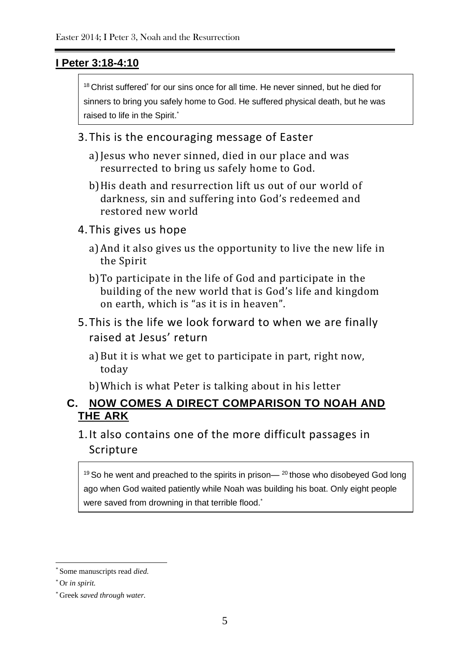#### **I Peter 3:18-4:10**

<sup>18</sup> Christ suffered<sup>\*</sup> for our sins once for all time. He never sinned, but he died for sinners to bring you safely home to God. He suffered physical death, but he was raised to life in the Spirit.<sup>\*</sup>

- 3.This is the encouraging message of Easter
	- a)Jesus who never sinned, died in our place and was resurrected to bring us safely home to God.
	- b)His death and resurrection lift us out of our world of darkness, sin and suffering into God's redeemed and restored new world
- 4.This gives us hope
	- a)And it also gives us the opportunity to live the new life in the Spirit
	- b)To participate in the life of God and participate in the building of the new world that is God's life and kingdom on earth, which is "as it is in heaven".
- 5.This is the life we look forward to when we are finally raised at Jesus' return
	- a)But it is what we get to participate in part, right now, today
	- b)Which is what Peter is talking about in his letter

### **C. NOW COMES A DIRECT COMPARISON TO NOAH AND THE ARK**

## 1.It also contains one of the more difficult passages in Scripture

 $19$  So he went and preached to the spirits in prison— $20$  those who disobeyed God long ago when God waited patiently while Noah was building his boat. Only eight people were saved from drowning in that terrible flood.<sup>\*</sup>

<sup>\*</sup> Some manuscripts read *died.*

<sup>\*</sup> Or *in spirit.*

<sup>\*</sup> Greek *saved through water.*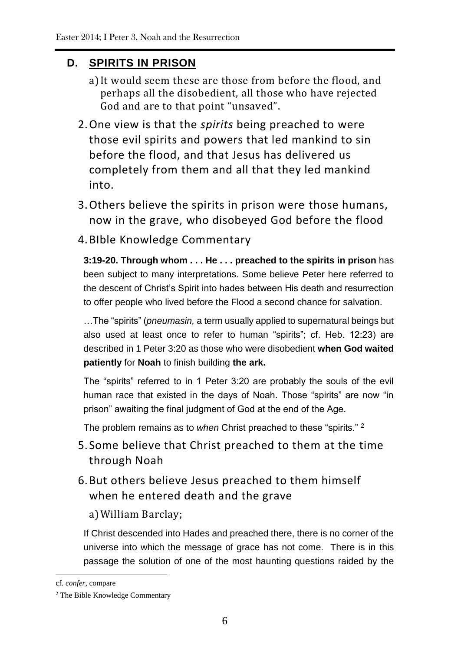### **D. SPIRITS IN PRISON**

- a)It would seem these are those from before the flood, and perhaps all the disobedient, all those who have rejected God and are to that point "unsaved".
- 2.One view is that the *spirits* being preached to were those evil spirits and powers that led mankind to sin before the flood, and that Jesus has delivered us completely from them and all that they led mankind into.
- 3.Others believe the spirits in prison were those humans, now in the grave, who disobeyed God before the flood
- 4.BIble Knowledge Commentary

**3:19-20. Through whom . . . He . . . preached to the spirits in prison** has been subject to many interpretations. Some believe Peter here referred to the descent of Christ's Spirit into hades between His death and resurrection to offer people who lived before the Flood a second chance for salvation.

…The "spirits" (*pneumasin,* a term usually applied to supernatural beings but also used at least once to refer to human "spirits"; cf. Heb. 12:23) are described in 1 Peter 3:20 as those who were disobedient **when God waited patiently** for **Noah** to finish building **the ark.** 

The "spirits" referred to in 1 Peter 3:20 are probably the souls of the evil human race that existed in the days of Noah. Those "spirits" are now "in prison" awaiting the final judgment of God at the end of the Age.

The problem remains as to *when* Christ preached to these "spirits." <sup>2</sup>

- 5. Some believe that Christ preached to them at the time through Noah
- 6.But others believe Jesus preached to them himself when he entered death and the grave

a)William Barclay;

If Christ descended into Hades and preached there, there is no corner of the universe into which the message of grace has not come. There is in this passage the solution of one of the most haunting questions raided by the

1

cf. *confer*, compare

<sup>2</sup> The Bible Knowledge Commentary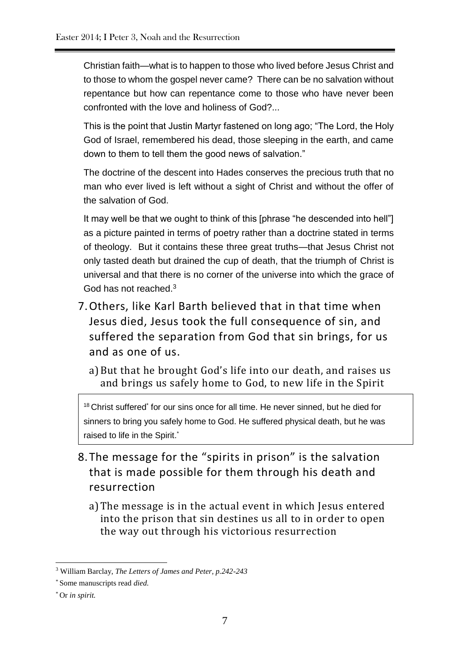Christian faith—what is to happen to those who lived before Jesus Christ and to those to whom the gospel never came? There can be no salvation without repentance but how can repentance come to those who have never been confronted with the love and holiness of God?...

This is the point that Justin Martyr fastened on long ago; "The Lord, the Holy God of Israel, remembered his dead, those sleeping in the earth, and came down to them to tell them the good news of salvation."

The doctrine of the descent into Hades conserves the precious truth that no man who ever lived is left without a sight of Christ and without the offer of the salvation of God.

It may well be that we ought to think of this [phrase "he descended into hell"] as a picture painted in terms of poetry rather than a doctrine stated in terms of theology. But it contains these three great truths—that Jesus Christ not only tasted death but drained the cup of death, that the triumph of Christ is universal and that there is no corner of the universe into which the grace of God has not reached.<sup>3</sup>

7.Others, like Karl Barth believed that in that time when Jesus died, Jesus took the full consequence of sin, and suffered the separation from God that sin brings, for us and as one of us.

a)But that he brought God's life into our death, and raises us and brings us safely home to God, to new life in the Spirit

<sup>18</sup> Christ suffered<sup>\*</sup> for our sins once for all time. He never sinned, but he died for sinners to bring you safely home to God. He suffered physical death, but he was raised to life in the Spirit.\*

- 8.The message for the "spirits in prison" is the salvation that is made possible for them through his death and resurrection
	- a)The message is in the actual event in which Jesus entered into the prison that sin destines us all to in order to open the way out through his victorious resurrection

<sup>3</sup> William Barclay, *The Letters of James and Peter, p.242-243*

<sup>\*</sup> Some manuscripts read *died.*

<sup>\*</sup> Or *in spirit.*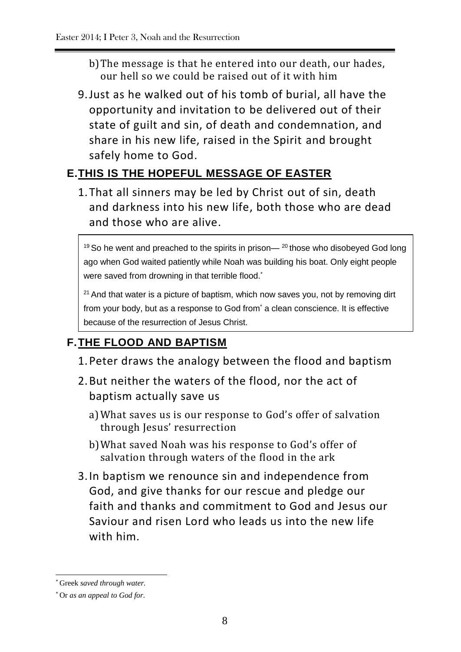- b)The message is that he entered into our death, our hades, our hell so we could be raised out of it with him
- 9.Just as he walked out of his tomb of burial, all have the opportunity and invitation to be delivered out of their state of guilt and sin, of death and condemnation, and share in his new life, raised in the Spirit and brought safely home to God.

## **E.THIS IS THE HOPEFUL MESSAGE OF EASTER**

1.That all sinners may be led by Christ out of sin, death and darkness into his new life, both those who are dead and those who are alive.

 $19$  So he went and preached to the spirits in prison— $20$  those who disobeyed God long ago when God waited patiently while Noah was building his boat. Only eight people were saved from drowning in that terrible flood.<sup>\*</sup>

 $21$  And that water is a picture of baptism, which now saves you, not by removing dirt from your body, but as a response to God from<sup>\*</sup> a clean conscience. It is effective because of the resurrection of Jesus Christ.

# **F.THE FLOOD AND BAPTISM**

- 1.Peter draws the analogy between the flood and baptism
- 2.But neither the waters of the flood, nor the act of baptism actually save us
	- a)What saves us is our response to God's offer of salvation through Jesus' resurrection
	- b)What saved Noah was his response to God's offer of salvation through waters of the flood in the ark
- 3.In baptism we renounce sin and independence from God, and give thanks for our rescue and pledge our faith and thanks and commitment to God and Jesus our Saviour and risen Lord who leads us into the new life with him.

1

<sup>\*</sup> Greek *saved through water.*

<sup>\*</sup> Or *as an appeal to God for.*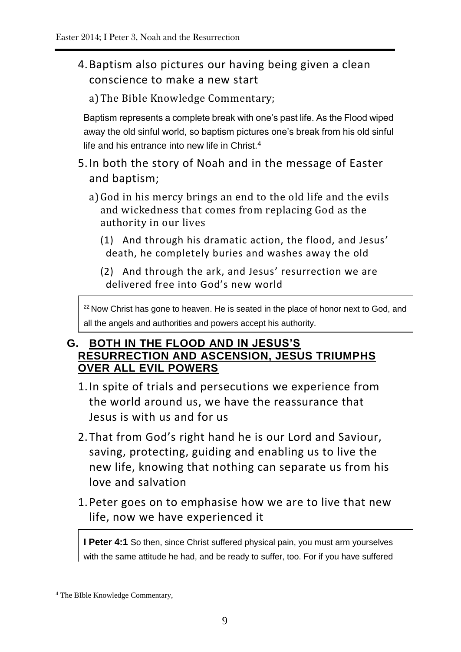## 4.Baptism also pictures our having being given a clean conscience to make a new start

#### a)The Bible Knowledge Commentary;

Baptism represents a complete break with one's past life. As the Flood wiped away the old sinful world, so baptism pictures one's break from his old sinful life and his entrance into new life in Christ.<sup>4</sup>

- 5.In both the story of Noah and in the message of Easter and baptism;
	- a)God in his mercy brings an end to the old life and the evils and wickedness that comes from replacing God as the authority in our lives
		- (1) And through his dramatic action, the flood, and Jesus' death, he completely buries and washes away the old
		- (2) And through the ark, and Jesus' resurrection we are delivered free into God's new world

<sup>22</sup> Now Christ has gone to heaven. He is seated in the place of honor next to God, and all the angels and authorities and powers accept his authority.

#### **G. BOTH IN THE FLOOD AND IN JESUS'S RESURRECTION AND ASCENSION, JESUS TRIUMPHS OVER ALL EVIL POWERS**

- 1.In spite of trials and persecutions we experience from the world around us, we have the reassurance that Jesus is with us and for us
- 2.That from God's right hand he is our Lord and Saviour, saving, protecting, guiding and enabling us to live the new life, knowing that nothing can separate us from his love and salvation
- 1.Peter goes on to emphasise how we are to live that new life, now we have experienced it

**I Peter 4:1** So then, since Christ suffered physical pain, you must arm yourselves with the same attitude he had, and be ready to suffer, too. For if you have suffered

<sup>4</sup> The BIble Knowledge Commentary,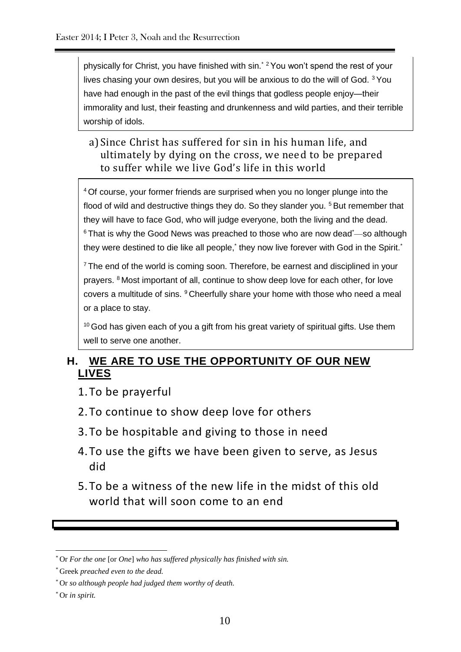physically for Christ, you have finished with sin.\* <sup>2</sup> You won't spend the rest of your lives chasing your own desires, but you will be anxious to do the will of God. <sup>3</sup> You have had enough in the past of the evil things that godless people enjoy—their immorality and lust, their feasting and drunkenness and wild parties, and their terrible worship of idols.

#### a)Since Christ has suffered for sin in his human life, and ultimately by dying on the cross, we need to be prepared to suffer while we live God's life in this world

<sup>4</sup> Of course, your former friends are surprised when you no longer plunge into the flood of wild and destructive things they do. So they slander you.<sup>5</sup> But remember that they will have to face God, who will judge everyone, both the living and the dead.  $6$  That is why the Good News was preached to those who are now dead\*—so although they were destined to die like all people,<sup>\*</sup> they now live forever with God in the Spirit.<sup>\*</sup>

<sup>7</sup> The end of the world is coming soon. Therefore, be earnest and disciplined in your prayers. <sup>8</sup> Most important of all, continue to show deep love for each other, for love covers a multitude of sins. <sup>9</sup> Cheerfully share your home with those who need a meal or a place to stay.

<sup>10</sup> God has given each of you a gift from his great variety of spiritual gifts. Use them well to serve one another.

### **H. WE ARE TO USE THE OPPORTUNITY OF OUR NEW LIVES**

- 1.To be prayerful
- 2.To continue to show deep love for others
- 3.To be hospitable and giving to those in need
- 4.To use the gifts we have been given to serve, as Jesus did
- 5.To be a witness of the new life in the midst of this old world that will soon come to an end

<sup>\*</sup> Or *For the one* [or *One*] *who has suffered physically has finished with sin.*

<sup>\*</sup> Greek *preached even to the dead.*

<sup>\*</sup> Or *so although people had judged them worthy of death.*

<sup>\*</sup> Or *in spirit.*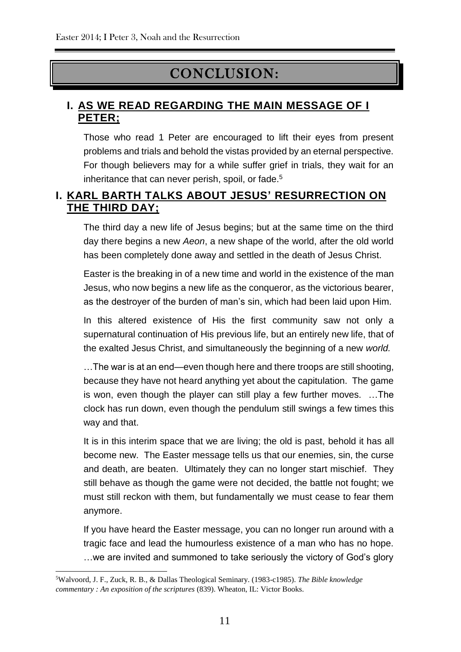# CONCLUSION:

#### **I. AS WE READ REGARDING THE MAIN MESSAGE OF I PETER;**

Those who read 1 Peter are encouraged to lift their eyes from present problems and trials and behold the vistas provided by an eternal perspective. For though believers may for a while suffer grief in trials, they wait for an inheritance that can never perish, spoil, or fade.<sup>5</sup>

#### **I. KARL BARTH TALKS ABOUT JESUS' RESURRECTION ON THE THIRD DAY;**

The third day a new life of Jesus begins; but at the same time on the third day there begins a new *Aeon*, a new shape of the world, after the old world has been completely done away and settled in the death of Jesus Christ.

Easter is the breaking in of a new time and world in the existence of the man Jesus, who now begins a new life as the conqueror, as the victorious bearer, as the destroyer of the burden of man's sin, which had been laid upon Him.

In this altered existence of His the first community saw not only a supernatural continuation of His previous life, but an entirely new life, that of the exalted Jesus Christ, and simultaneously the beginning of a new *world.* 

…The war is at an end—even though here and there troops are still shooting, because they have not heard anything yet about the capitulation. The game is won, even though the player can still play a few further moves. …The clock has run down, even though the pendulum still swings a few times this way and that.

It is in this interim space that we are living; the old is past, behold it has all become new. The Easter message tells us that our enemies, sin, the curse and death, are beaten. Ultimately they can no longer start mischief. They still behave as though the game were not decided, the battle not fought; we must still reckon with them, but fundamentally we must cease to fear them anymore.

If you have heard the Easter message, you can no longer run around with a tragic face and lead the humourless existence of a man who has no hope. …we are invited and summoned to take seriously the victory of God's glory

<sup>5</sup>Walvoord, J. F., Zuck, R. B., & Dallas Theological Seminary. (1983-c1985). *The Bible knowledge commentary : An exposition of the scriptures* (839). Wheaton, IL: Victor Books.